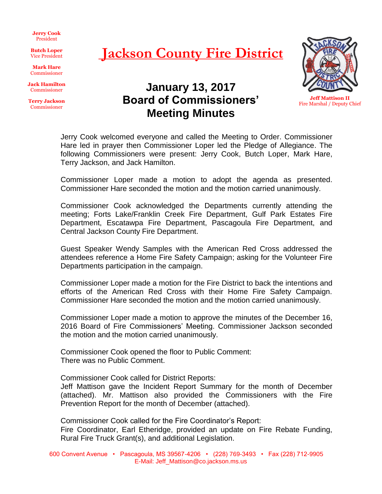**Jerry Cook** President

**Butch Loper** Vice President

**Mark Hare** Commissioner

**Jack Hamilton** Commissioner

**Terry Jackson** Commissioner

## **Jackson County Fire District**

**January 13, 2017 Board of Commissioners'**

**Meeting Minutes**



**Jeff Mattison II** Fire Marshal / Deputy Chief

Jerry Cook welcomed everyone and called the Meeting to Order. Commissioner Hare led in prayer then Commissioner Loper led the Pledge of Allegiance. The following Commissioners were present: Jerry Cook, Butch Loper, Mark Hare, Terry Jackson, and Jack Hamilton.

Commissioner Loper made a motion to adopt the agenda as presented. Commissioner Hare seconded the motion and the motion carried unanimously.

Commissioner Cook acknowledged the Departments currently attending the meeting; Forts Lake/Franklin Creek Fire Department, Gulf Park Estates Fire Department, Escatawpa Fire Department, Pascagoula Fire Department, and Central Jackson County Fire Department.

Guest Speaker Wendy Samples with the American Red Cross addressed the attendees reference a Home Fire Safety Campaign; asking for the Volunteer Fire Departments participation in the campaign.

Commissioner Loper made a motion for the Fire District to back the intentions and efforts of the American Red Cross with their Home Fire Safety Campaign. Commissioner Hare seconded the motion and the motion carried unanimously.

Commissioner Loper made a motion to approve the minutes of the December 16, 2016 Board of Fire Commissioners' Meeting. Commissioner Jackson seconded the motion and the motion carried unanimously.

Commissioner Cook opened the floor to Public Comment: There was no Public Comment.

Commissioner Cook called for District Reports:

Jeff Mattison gave the Incident Report Summary for the month of December (attached). Mr. Mattison also provided the Commissioners with the Fire Prevention Report for the month of December (attached).

Commissioner Cook called for the Fire Coordinator's Report: Fire Coordinator, Earl Etheridge, provided an update on Fire Rebate Funding, Rural Fire Truck Grant(s), and additional Legislation.